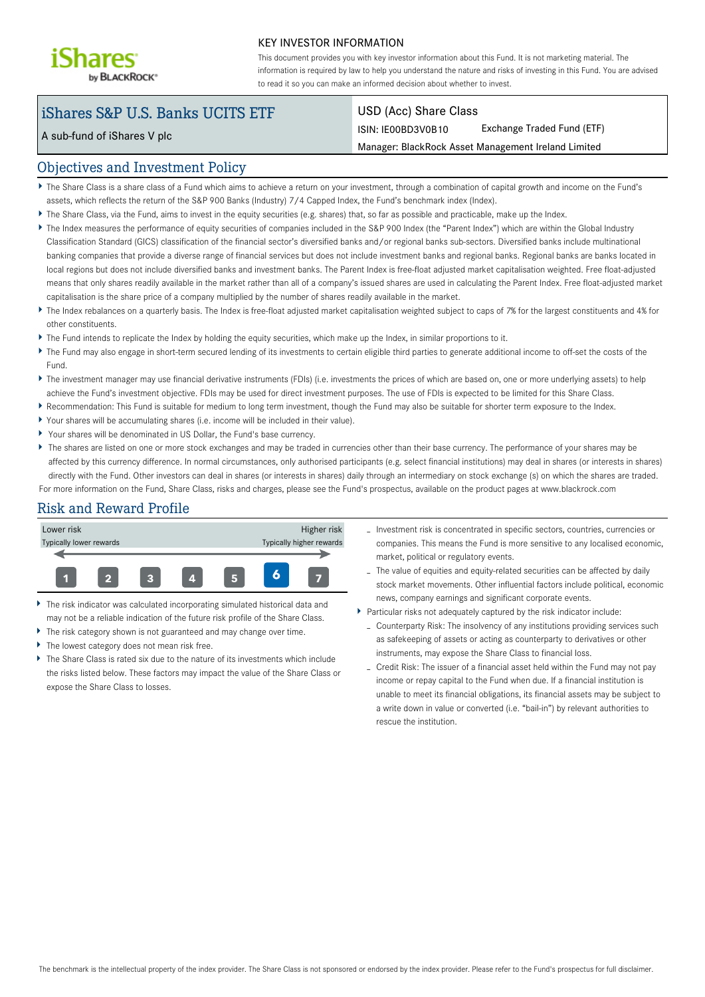

#### KEY INVESTOR INFORMATION

This document provides you with key investor information about this Fund. It is not marketing material. The information is required by law to help you understand the nature and risks of investing in this Fund. You are advised to read it so you can make an informed decision about whether to invest.

# iShares S&P U.S. Banks UCITS ETF

A sub-fund of iShares V plc

#### USD (Acc) Share Class

ISIN: IE00BD3V0B10 Exchange Traded Fund (ETF)

Manager: BlackRock Asset Management Ireland Limited

### Objectives and Investment Policy

- The Share Class is a share class of a Fund which aims to achieve a return on your investment, through a combination of capital growth and income on the Fund's assets, which reflects the return of the S&P 900 Banks (Industry) 7/4 Capped Index, the Fund's benchmark index (Index).
- The Share Class, via the Fund, aims to invest in the equity securities (e.g. shares) that, so far as possible and practicable, make up the Index.
- The Index measures the performance of equity securities of companies included in the S&P 900 Index (the "Parent Index") which are within the Global Industry Classification Standard (GICS) classification of the financial sector's diversified banks and/or regional banks sub-sectors. Diversified banks include multinational banking companies that provide a diverse range of financial services but does not include investment banks and regional banks. Regional banks are banks located in local regions but does not include diversified banks and investment banks. The Parent Index is free-float adjusted market capitalisation weighted. Free float-adjusted means that only shares readily available in the market rather than all of a company's issued shares are used in calculating the Parent Index. Free float-adjusted market capitalisation is the share price of a company multiplied by the number of shares readily available in the market.
- ▶ The Index rebalances on a quarterly basis. The Index is free-float adjusted market capitalisation weighted subject to caps of 7% for the largest constituents and 4% for other constituents.
- The Fund intends to replicate the Index by holding the equity securities, which make up the Index, in similar proportions to it.
- The Fund may also engage in short-term secured lending of its investments to certain eligible third parties to generate additional income to off-set the costs of the Fund.
- ▶ The investment manager may use financial derivative instruments (FDIs) (i.e. investments the prices of which are based on, one or more underlying assets) to help achieve the Fund's investment objective. FDIs may be used for direct investment purposes. The use of FDIs is expected to be limited for this Share Class.
- Recommendation: This Fund is suitable for medium to long term investment, though the Fund may also be suitable for shorter term exposure to the Index.
- Your shares will be accumulating shares (i.e. income will be included in their value).
- Your shares will be denominated in US Dollar, the Fund's base currency.
- ▶ The shares are listed on one or more stock exchanges and may be traded in currencies other than their base currency. The performance of your shares may be affected by this currency difference. In normal circumstances, only authorised participants (e.g. select financial institutions) may deal in shares (or interests in shares) directly with the Fund. Other investors can deal in shares (or interests in shares) daily through an intermediary on stock exchange (s) on which the shares are traded. For more information on the Fund, Share Class, risks and charges, please see the Fund's prospectus, available on the product pages at www.blackrock.com

## Risk and Reward Profile



- The risk indicator was calculated incorporating simulated historical data and may not be a reliable indication of the future risk profile of the Share Class.
- The risk category shown is not guaranteed and may change over time.
- The lowest category does not mean risk free.
- The Share Class is rated six due to the nature of its investments which include the risks listed below. These factors may impact the value of the Share Class or expose the Share Class to losses.
- Investment risk is concentrated in specific sectors, countries, currencies or companies. This means the Fund is more sensitive to any localised economic, market, political or regulatory events.
- The value of equities and equity-related securities can be affected by daily stock market movements. Other influential factors include political, economic news, company earnings and significant corporate events.
- Particular risks not adequately captured by the risk indicator include:
	- Counterparty Risk: The insolvency of any institutions providing services such as safekeeping of assets or acting as counterparty to derivatives or other instruments, may expose the Share Class to financial loss.
	- Credit Risk: The issuer of a financial asset held within the Fund may not pay income or repay capital to the Fund when due. If a financial institution is unable to meet its financial obligations, its financial assets may be subject to a write down in value or converted (i.e. "bail-in") by relevant authorities to rescue the institution.